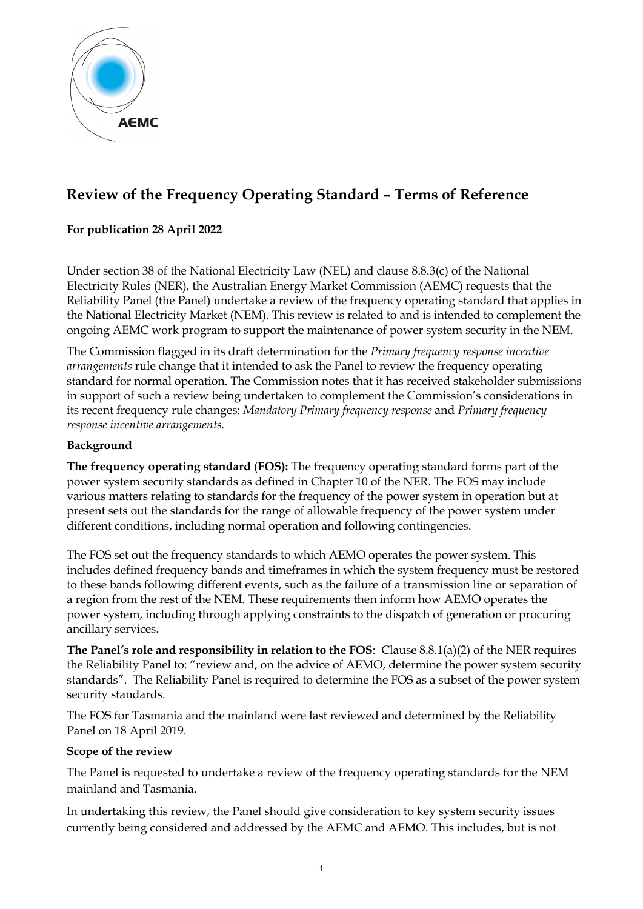

# **Review of the Frequency Operating Standard – Terms of Reference**

## **For publication 28 April 2022**

Under section 38 of the National Electricity Law (NEL) and clause 8.8.3(c) of the National Electricity Rules (NER), the Australian Energy Market Commission (AEMC) requests that the Reliability Panel (the Panel) undertake a review of the frequency operating standard that applies in the National Electricity Market (NEM). This review is related to and is intended to complement the ongoing AEMC work program to support the maintenance of power system security in the NEM.

The Commission flagged in its draft determination for the *Primary frequency response incentive arrangements* rule change that it intended to ask the Panel to review the frequency operating standard for normal operation. The Commission notes that it has received stakeholder submissions in support of such a review being undertaken to complement the Commission's considerations in its recent frequency rule changes: *Mandatory Primary frequency response* and *Primary frequency response incentive arrangements.*

### **Background**

**The frequency operating standard** (**FOS):** The frequency operating standard forms part of the power system security standards as defined in Chapter 10 of the NER. The FOS may include various matters relating to standards for the frequency of the power system in operation but at present sets out the standards for the range of allowable frequency of the power system under different conditions, including normal operation and following contingencies.

The FOS set out the frequency standards to which AEMO operates the power system. This includes defined frequency bands and timeframes in which the system frequency must be restored to these bands following different events, such as the failure of a transmission line or separation of a region from the rest of the NEM. These requirements then inform how AEMO operates the power system, including through applying constraints to the dispatch of generation or procuring ancillary services.

**The Panel's role and responsibility in relation to the FOS**: Clause 8.8.1(a)(2) of the NER requires the Reliability Panel to: "review and, on the advice of AEMO, determine the power system security standards". The Reliability Panel is required to determine the FOS as a subset of the power system security standards.

The FOS for Tasmania and the mainland were last reviewed and determined by the Reliability Panel on 18 April 2019.

#### **Scope of the review**

The Panel is requested to undertake a review of the frequency operating standards for the NEM mainland and Tasmania.

In undertaking this review, the Panel should give consideration to key system security issues currently being considered and addressed by the AEMC and AEMO. This includes, but is not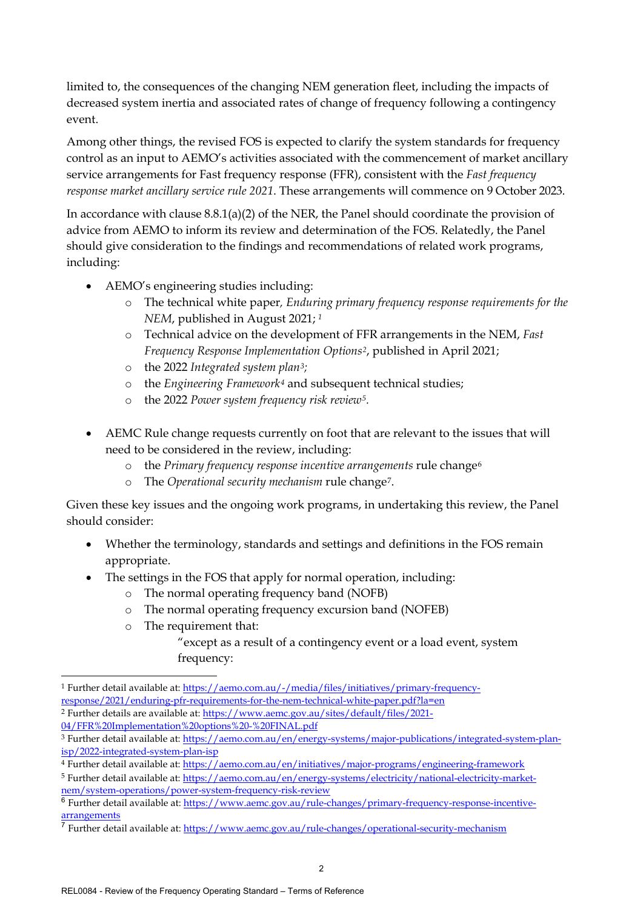limited to, the consequences of the changing NEM generation fleet, including the impacts of decreased system inertia and associated rates of change of frequency following a contingency event.

Among other things, the revised FOS is expected to clarify the system standards for frequency control as an input to AEMO's activities associated with the commencement of market ancillary service arrangements for Fast frequency response (FFR), consistent with the *Fast frequency response market ancillary service rule 2021*. These arrangements will commence on 9 October 2023.

In accordance with clause 8.8.1(a)(2) of the NER, the Panel should coordinate the provision of advice from AEMO to inform its review and determination of the FOS. Relatedly, the Panel should give consideration to the findings and recommendations of related work programs, including:

- AEMO's engineering studies including:
	- o The technical white paper*, Enduring primary frequency response requirements for the NEM*, published in August 2021; *[1](#page-1-0)*
	- o Technical advice on the development of FFR arrangements in the NEM, *Fast Frequency Response Implementation Options[2](#page-1-1)*, published in April 2021;
	- o the 2022 *Integrated system plan[3;](#page-1-2)*
	- o the *Engineering Framework[4](#page-1-3)* and subsequent technical studies;
	- o the 2022 *Power system frequency risk review[5](#page-1-4).*
- AEMC Rule change requests currently on foot that are relevant to the issues that will need to be considered in the review, including:
	- o the *Primary frequency response incentive arrangements* rule change[6](#page-1-5)
	- The *Operational security mechanism* rule change<sup>[7](#page-1-6)</sup>.

Given these key issues and the ongoing work programs, in undertaking this review, the Panel should consider:

- Whether the terminology, standards and settings and definitions in the FOS remain appropriate.
- The settings in the FOS that apply for normal operation, including:
	- o The normal operating frequency band (NOFB)
	- o The normal operating frequency excursion band (NOFEB)
	- o The requirement that:

"except as a result of a contingency event or a load event, system frequency:

<span id="page-1-1"></span><sup>2</sup> Further details are available at: [https://www.aemc.gov.au/sites/default/files/2021-](https://www.aemc.gov.au/sites/default/files/2021-04/FFR%20Implementation%20options%20-%20FINAL.pdf) [04/FFR%20Implementation%20options%20-%20FINAL.pdf](https://www.aemc.gov.au/sites/default/files/2021-04/FFR%20Implementation%20options%20-%20FINAL.pdf)

<span id="page-1-4"></span><sup>5</sup> Further detail available at[: https://aemo.com.au/en/energy-systems/electricity/national-electricity-market](https://aemo.com.au/en/energy-systems/electricity/national-electricity-market-nem/system-operations/power-system-frequency-risk-review)[nem/system-operations/power-system-frequency-risk-review](https://aemo.com.au/en/energy-systems/electricity/national-electricity-market-nem/system-operations/power-system-frequency-risk-review)

<span id="page-1-0"></span><sup>1</sup> Further detail available at[: https://aemo.com.au/-/media/files/initiatives/primary-frequency](https://aemo.com.au/-/media/files/initiatives/primary-frequency-response/2021/enduring-pfr-requirements-for-the-nem-technical-white-paper.pdf?la=en)[response/2021/enduring-pfr-requirements-for-the-nem-technical-white-paper.pdf?la=en](https://aemo.com.au/-/media/files/initiatives/primary-frequency-response/2021/enduring-pfr-requirements-for-the-nem-technical-white-paper.pdf?la=en)

<span id="page-1-2"></span><sup>&</sup>lt;sup>3</sup> Further detail available at[: https://aemo.com.au/en/energy-systems/major-publications/integrated-system-plan](https://aemo.com.au/en/energy-systems/major-publications/integrated-system-plan-isp/2022-integrated-system-plan-isp)[isp/2022-integrated-system-plan-isp](https://aemo.com.au/en/energy-systems/major-publications/integrated-system-plan-isp/2022-integrated-system-plan-isp)

<span id="page-1-3"></span><sup>4</sup> Further detail available at[: https://aemo.com.au/en/initiatives/major-programs/engineering-framework](https://aemo.com.au/en/initiatives/major-programs/engineering-framework)

<span id="page-1-5"></span><sup>6</sup> Further detail available at: [https://www.aemc.gov.au/rule-changes/primary-frequency-response-incentive](https://www.aemc.gov.au/rule-changes/primary-frequency-response-incentive-arrangements)[arrangements](https://www.aemc.gov.au/rule-changes/primary-frequency-response-incentive-arrangements)

<span id="page-1-6"></span><sup>7</sup> Further detail available at:<https://www.aemc.gov.au/rule-changes/operational-security-mechanism>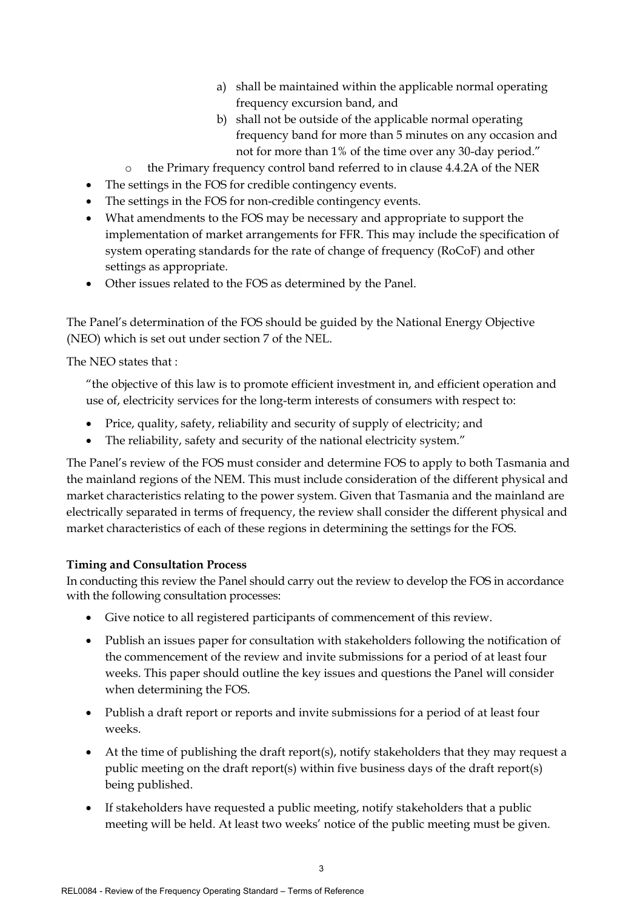- a) shall be maintained within the applicable normal operating frequency excursion band, and
- b) shall not be outside of the applicable normal operating frequency band for more than 5 minutes on any occasion and not for more than 1% of the time over any 30-day period."
- o the Primary frequency control band referred to in clause 4.4.2A of the NER
- The settings in the FOS for credible contingency events.
- The settings in the FOS for non-credible contingency events.
- What amendments to the FOS may be necessary and appropriate to support the implementation of market arrangements for FFR. This may include the specification of system operating standards for the rate of change of frequency (RoCoF) and other settings as appropriate.
- Other issues related to the FOS as determined by the Panel.

The Panel's determination of the FOS should be guided by the National Energy Objective (NEO) which is set out under section 7 of the NEL.

The NEO states that :

"the objective of this law is to promote efficient investment in, and efficient operation and use of, electricity services for the long-term interests of consumers with respect to:

- Price, quality, safety, reliability and security of supply of electricity; and
- The reliability, safety and security of the national electricity system."

The Panel's review of the FOS must consider and determine FOS to apply to both Tasmania and the mainland regions of the NEM. This must include consideration of the different physical and market characteristics relating to the power system. Given that Tasmania and the mainland are electrically separated in terms of frequency, the review shall consider the different physical and market characteristics of each of these regions in determining the settings for the FOS.

### **Timing and Consultation Process**

In conducting this review the Panel should carry out the review to develop the FOS in accordance with the following consultation processes:

- Give notice to all registered participants of commencement of this review.
- Publish an issues paper for consultation with stakeholders following the notification of the commencement of the review and invite submissions for a period of at least four weeks. This paper should outline the key issues and questions the Panel will consider when determining the FOS.
- Publish a draft report or reports and invite submissions for a period of at least four weeks.
- At the time of publishing the draft report(s), notify stakeholders that they may request a public meeting on the draft report(s) within five business days of the draft report(s) being published.
- If stakeholders have requested a public meeting, notify stakeholders that a public meeting will be held. At least two weeks' notice of the public meeting must be given.